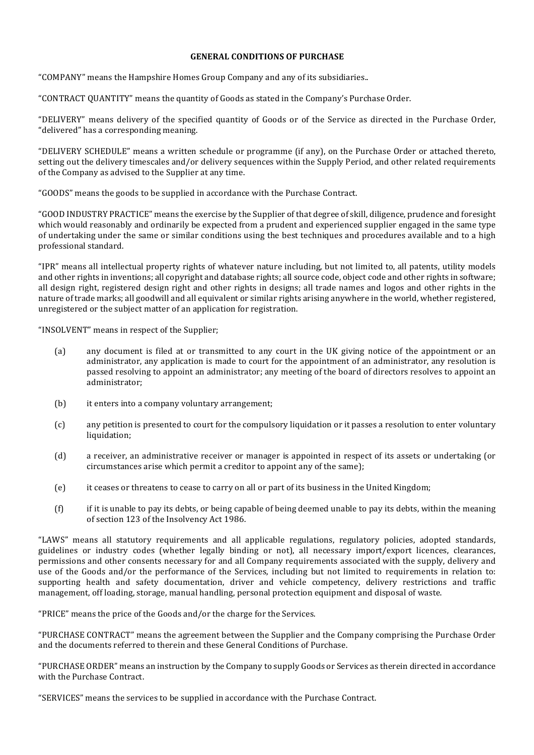## **GENERAL CONDITIONS OF PURCHASE**

"COMPANY" means the Hampshire Homes Group Company and any of its subsidiaries..

"CONTRACT QUANTITY" means the quantity of Goods as stated in the Company's Purchase Order.

"DELIVERY" means delivery of the specified quantity of Goods or of the Service as directed in the Purchase Order, "delivered" has a corresponding meaning.

"DELIVERY SCHEDULE" means a written schedule or programme (if any), on the Purchase Order or attached thereto, setting out the delivery timescales and/or delivery sequences within the Supply Period, and other related requirements of the Company as advised to the Supplier at any time.

"GOODS" means the goods to be supplied in accordance with the Purchase Contract.

"GOOD INDUSTRY PRACTICE" means the exercise by the Supplier of that degree of skill, diligence, prudence and foresight which would reasonably and ordinarily be expected from a prudent and experienced supplier engaged in the same type of undertaking under the same or similar conditions using the best techniques and procedures available and to a high professional standard.

"IPR" means all intellectual property rights of whatever nature including, but not limited to, all patents, utility models and other rights in inventions; all copyright and database rights; all source code, object code and other rights in software; all design right, registered design right and other rights in designs; all trade names and logos and other rights in the nature of trade marks; all goodwill and all equivalent or similar rights arising anywhere in the world, whether registered, unregistered or the subject matter of an application for registration.

"INSOLVENT" means in respect of the Supplier;

- (a) any document is filed at or transmitted to any court in the UK giving notice of the appointment or an administrator, any application is made to court for the appointment of an administrator, any resolution is passed resolving to appoint an administrator; any meeting of the board of directors resolves to appoint an administrator;
- $(b)$  it enters into a company voluntary arrangement;
- (c) any petition is presented to court for the compulsory liquidation or it passes a resolution to enter voluntary liquidation;
- (d) a receiver, an administrative receiver or manager is appointed in respect of its assets or undertaking (or circumstances arise which permit a creditor to appoint any of the same);
- (e) it ceases or threatens to cease to carry on all or part of its business in the United Kingdom;
- (f) if it is unable to pay its debts, or being capable of being deemed unable to pay its debts, within the meaning of section 123 of the Insolvency Act 1986.

"LAWS" means all statutory requirements and all applicable regulations, regulatory policies, adopted standards, guidelines or industry codes (whether legally binding or not), all necessary import/export licences, clearances, permissions and other consents necessary for and all Company requirements associated with the supply, delivery and use of the Goods and/or the performance of the Services, including but not limited to requirements in relation to: supporting health and safety documentation, driver and vehicle competency, delivery restrictions and traffic management, off loading, storage, manual handling, personal protection equipment and disposal of waste.

"PRICE" means the price of the Goods and/or the charge for the Services.

"PURCHASE CONTRACT" means the agreement between the Supplier and the Company comprising the Purchase Order and the documents referred to therein and these General Conditions of Purchase.

"PURCHASE ORDER" means an instruction by the Company to supply Goods or Services as therein directed in accordance with the Purchase Contract.

"SERVICES" means the services to be supplied in accordance with the Purchase Contract.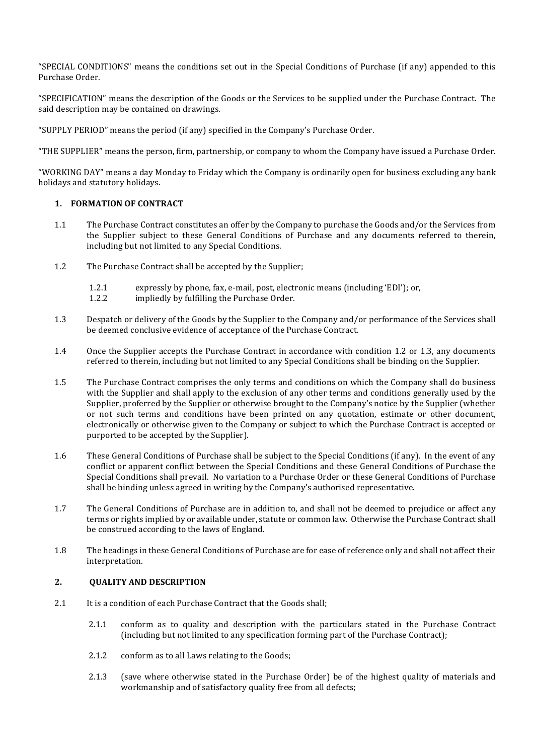"SPECIAL CONDITIONS" means the conditions set out in the Special Conditions of Purchase (if any) appended to this Purchase Order.

"SPECIFICATION" means the description of the Goods or the Services to be supplied under the Purchase Contract. The said description may be contained on drawings.

"SUPPLY PERIOD" means the period (if any) specified in the Company's Purchase Order.

"THE SUPPLIER" means the person, firm, partnership, or company to whom the Company have issued a Purchase Order.

"WORKING DAY" means a day Monday to Friday which the Company is ordinarily open for business excluding any bank holidays and statutory holidays.

## **1. FORMATION OF CONTRACT**

- 1.1 The Purchase Contract constitutes an offer by the Company to purchase the Goods and/or the Services from the Supplier subject to these General Conditions of Purchase and any documents referred to therein, including but not limited to any Special Conditions.
- 1.2 The Purchase Contract shall be accepted by the Supplier;
	- 1.2.1 expressly by phone, fax, e-mail, post, electronic means (including 'EDI'); or,
	- 1.2.2 impliedly by fulfilling the Purchase Order.
- 1.3 Despatch or delivery of the Goods by the Supplier to the Company and/or performance of the Services shall be deemed conclusive evidence of acceptance of the Purchase Contract.
- 1.4 Once the Supplier accepts the Purchase Contract in accordance with condition 1.2 or 1.3, any documents referred to therein, including but not limited to any Special Conditions shall be binding on the Supplier.
- 1.5 The Purchase Contract comprises the only terms and conditions on which the Company shall do business with the Supplier and shall apply to the exclusion of any other terms and conditions generally used by the Supplier, proferred by the Supplier or otherwise brought to the Company's notice by the Supplier (whether or not such terms and conditions have been printed on any quotation, estimate or other document, electronically or otherwise given to the Company or subject to which the Purchase Contract is accepted or purported to be accepted by the Supplier).
- 1.6 These General Conditions of Purchase shall be subject to the Special Conditions (if any). In the event of any conflict or apparent conflict between the Special Conditions and these General Conditions of Purchase the Special Conditions shall prevail. No variation to a Purchase Order or these General Conditions of Purchase shall be binding unless agreed in writing by the Company's authorised representative.
- 1.7 The General Conditions of Purchase are in addition to, and shall not be deemed to prejudice or affect any terms or rights implied by or available under, statute or common law. Otherwise the Purchase Contract shall be construed according to the laws of England.
- 1.8 The headings in these General Conditions of Purchase are for ease of reference only and shall not affect their interpretation.

### 2. **OUALITY AND DESCRIPTION**

- 2.1 It is a condition of each Purchase Contract that the Goods shall;
	- 2.1.1 conform as to quality and description with the particulars stated in the Purchase Contract (including but not limited to any specification forming part of the Purchase Contract);
	- 2.1.2 conform as to all Laws relating to the Goods;
	- 2.1.3 (save where otherwise stated in the Purchase Order) be of the highest quality of materials and workmanship and of satisfactory quality free from all defects;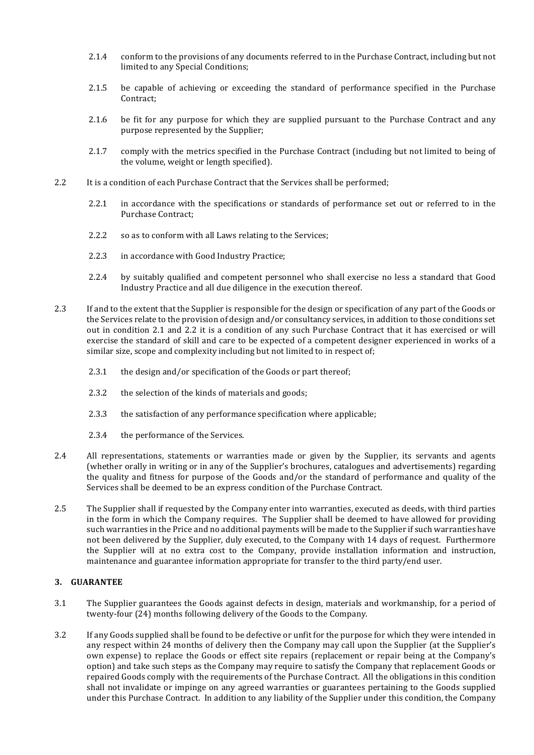- 2.1.4 conform to the provisions of any documents referred to in the Purchase Contract, including but not limited to any Special Conditions;
- 2.1.5 be capable of achieving or exceeding the standard of performance specified in the Purchase Contract;
- 2.1.6 be fit for any purpose for which they are supplied pursuant to the Purchase Contract and any purpose represented by the Supplier;
- 2.1.7 comply with the metrics specified in the Purchase Contract (including but not limited to being of the volume, weight or length specified).
- 2.2 It is a condition of each Purchase Contract that the Services shall be performed;
	- 2.2.1 in accordance with the specifications or standards of performance set out or referred to in the Purchase Contract;
	- 2.2.2 so as to conform with all Laws relating to the Services;
	- 2.2.3 in accordance with Good Industry Practice;
	- 2.2.4 by suitably qualified and competent personnel who shall exercise no less a standard that Good Industry Practice and all due diligence in the execution thereof.
- 2.3 If and to the extent that the Supplier is responsible for the design or specification of any part of the Goods or the Services relate to the provision of design and/or consultancy services, in addition to those conditions set out in condition 2.1 and 2.2 it is a condition of any such Purchase Contract that it has exercised or will exercise the standard of skill and care to be expected of a competent designer experienced in works of a similar size, scope and complexity including but not limited to in respect of;
	- 2.3.1 the design and/or specification of the Goods or part thereof;
	- 2.3.2 the selection of the kinds of materials and goods;
	- 2.3.3 the satisfaction of any performance specification where applicable;
	- 2.3.4 the performance of the Services.
- 2.4 All representations, statements or warranties made or given by the Supplier, its servants and agents (whether orally in writing or in any of the Supplier's brochures, catalogues and advertisements) regarding the quality and fitness for purpose of the Goods and/or the standard of performance and quality of the Services shall be deemed to be an express condition of the Purchase Contract.
- 2.5 The Supplier shall if requested by the Company enter into warranties, executed as deeds, with third parties in the form in which the Company requires. The Supplier shall be deemed to have allowed for providing such warranties in the Price and no additional payments will be made to the Supplier if such warranties have not been delivered by the Supplier, duly executed, to the Company with 14 days of request. Furthermore the Supplier will at no extra cost to the Company, provide installation information and instruction, maintenance and guarantee information appropriate for transfer to the third party/end user.

#### **3. GUARANTEE**

- 3.1 The Supplier guarantees the Goods against defects in design, materials and workmanship, for a period of twenty-four (24) months following delivery of the Goods to the Company.
- 3.2 If any Goods supplied shall be found to be defective or unfit for the purpose for which they were intended in any respect within 24 months of delivery then the Company may call upon the Supplier (at the Supplier's own expense) to replace the Goods or effect site repairs (replacement or repair being at the Company's option) and take such steps as the Company may require to satisfy the Company that replacement Goods or repaired Goods comply with the requirements of the Purchase Contract. All the obligations in this condition shall not invalidate or impinge on any agreed warranties or guarantees pertaining to the Goods supplied under this Purchase Contract. In addition to any liability of the Supplier under this condition, the Company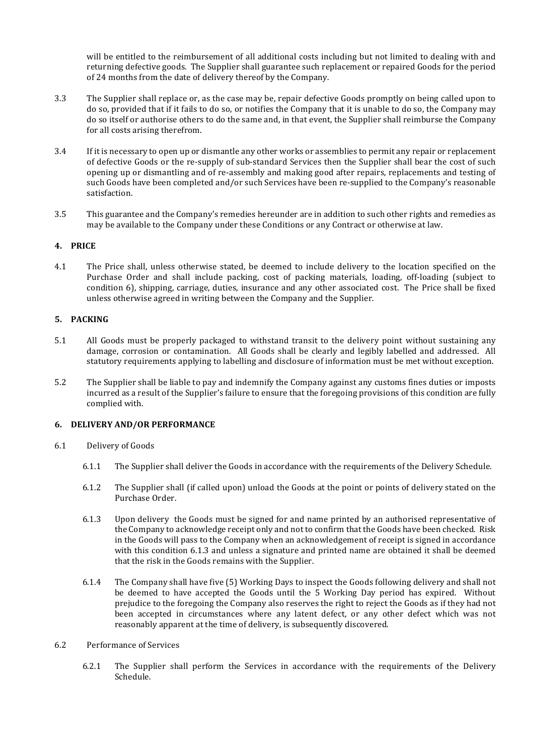will be entitled to the reimbursement of all additional costs including but not limited to dealing with and returning defective goods. The Supplier shall guarantee such replacement or repaired Goods for the period of 24 months from the date of delivery thereof by the Company.

- 3.3 The Supplier shall replace or, as the case may be, repair defective Goods promptly on being called upon to do so, provided that if it fails to do so, or notifies the Company that it is unable to do so, the Company may do so itself or authorise others to do the same and, in that event, the Supplier shall reimburse the Company for all costs arising therefrom.
- 3.4 If it is necessary to open up or dismantle any other works or assemblies to permit any repair or replacement of defective Goods or the re-supply of sub-standard Services then the Supplier shall bear the cost of such opening up or dismantling and of re-assembly and making good after repairs, replacements and testing of such Goods have been completed and/or such Services have been re-supplied to the Company's reasonable satisfaction.
- 3.5 This guarantee and the Company's remedies hereunder are in addition to such other rights and remedies as may be available to the Company under these Conditions or any Contract or otherwise at law.

## **4. PRICE**

4.1 The Price shall, unless otherwise stated, be deemed to include delivery to the location specified on the Purchase Order and shall include packing, cost of packing materials, loading, off-loading (subject to condition 6), shipping, carriage, duties, insurance and any other associated cost. The Price shall be fixed unless otherwise agreed in writing between the Company and the Supplier.

### **5. PACKING**

- 5.1 All Goods must be properly packaged to withstand transit to the delivery point without sustaining any damage, corrosion or contamination. All Goods shall be clearly and legibly labelled and addressed. All statutory requirements applying to labelling and disclosure of information must be met without exception.
- 5.2 The Supplier shall be liable to pay and indemnify the Company against any customs fines duties or imposts incurred as a result of the Supplier's failure to ensure that the foregoing provisions of this condition are fully complied with.

### **6. DELIVERY AND/OR PERFORMANCE**

- 6.1 Delivery of Goods
	- 6.1.1 The Supplier shall deliver the Goods in accordance with the requirements of the Delivery Schedule.
	- 6.1.2 The Supplier shall (if called upon) unload the Goods at the point or points of delivery stated on the Purchase Order.
	- 6.1.3 Upon delivery the Goods must be signed for and name printed by an authorised representative of the Company to acknowledge receipt only and not to confirm that the Goods have been checked. Risk in the Goods will pass to the Company when an acknowledgement of receipt is signed in accordance with this condition 6.1.3 and unless a signature and printed name are obtained it shall be deemed that the risk in the Goods remains with the Supplier.
	- 6.1.4 The Company shall have five (5) Working Days to inspect the Goods following delivery and shall not be deemed to have accepted the Goods until the 5 Working Day period has expired. Without prejudice to the foregoing the Company also reserves the right to reject the Goods as if they had not been accepted in circumstances where any latent defect, or any other defect which was not reasonably apparent at the time of delivery, is subsequently discovered.

### 6.2 Performance of Services

6.2.1 The Supplier shall perform the Services in accordance with the requirements of the Delivery Schedule.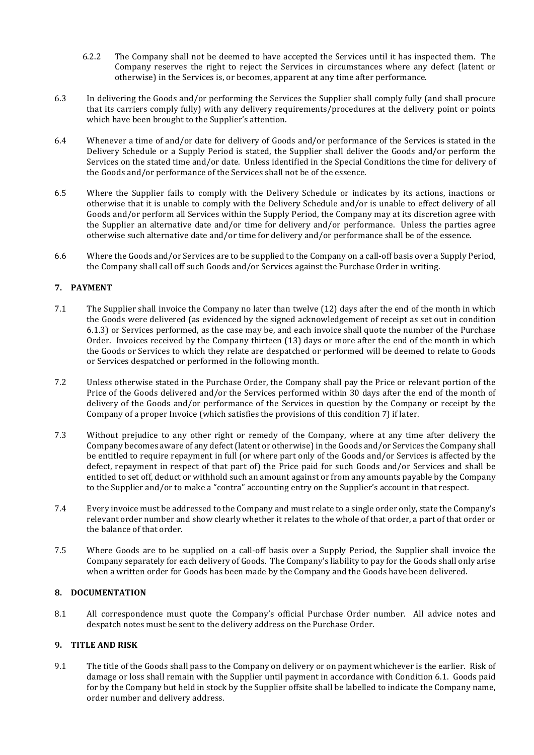- 6.2.2 The Company shall not be deemed to have accepted the Services until it has inspected them. The Company reserves the right to reject the Services in circumstances where any defect (latent or otherwise) in the Services is, or becomes, apparent at any time after performance.
- 6.3 In delivering the Goods and/or performing the Services the Supplier shall comply fully (and shall procure that its carriers comply fully) with any delivery requirements/procedures at the delivery point or points which have been brought to the Supplier's attention.
- 6.4 Whenever a time of and/or date for delivery of Goods and/or performance of the Services is stated in the Delivery Schedule or a Supply Period is stated, the Supplier shall deliver the Goods and/or perform the Services on the stated time and/or date. Unless identified in the Special Conditions the time for delivery of the Goods and/or performance of the Services shall not be of the essence.
- 6.5 Where the Supplier fails to comply with the Delivery Schedule or indicates by its actions, inactions or otherwise that it is unable to comply with the Delivery Schedule and/or is unable to effect delivery of all Goods and/or perform all Services within the Supply Period, the Company may at its discretion agree with the Supplier an alternative date and/or time for delivery and/or performance. Unless the parties agree otherwise such alternative date and/or time for delivery and/or performance shall be of the essence.
- 6.6 Where the Goods and/or Services are to be supplied to the Company on a call-off basis over a Supply Period, the Company shall call off such Goods and/or Services against the Purchase Order in writing.

## **7. PAYMENT**

- 7.1 The Supplier shall invoice the Company no later than twelve (12) days after the end of the month in which the Goods were delivered (as evidenced by the signed acknowledgement of receipt as set out in condition 6.1.3) or Services performed, as the case may be, and each invoice shall quote the number of the Purchase Order. Invoices received by the Company thirteen  $(13)$  days or more after the end of the month in which the Goods or Services to which they relate are despatched or performed will be deemed to relate to Goods or Services despatched or performed in the following month.
- 7.2 Unless otherwise stated in the Purchase Order, the Company shall pay the Price or relevant portion of the Price of the Goods delivered and/or the Services performed within 30 days after the end of the month of delivery of the Goods and/or performance of the Services in question by the Company or receipt by the Company of a proper Invoice (which satisfies the provisions of this condition 7) if later.
- 7.3 Without prejudice to any other right or remedy of the Company, where at any time after delivery the Company becomes aware of any defect (latent or otherwise) in the Goods and/or Services the Company shall be entitled to require repayment in full (or where part only of the Goods and/or Services is affected by the defect, repayment in respect of that part of) the Price paid for such Goods and/or Services and shall be entitled to set off, deduct or withhold such an amount against or from any amounts payable by the Company to the Supplier and/or to make a "contra" accounting entry on the Supplier's account in that respect.
- 7.4 Every invoice must be addressed to the Company and must relate to a single order only, state the Company's relevant order number and show clearly whether it relates to the whole of that order, a part of that order or the balance of that order.
- 7.5 Where Goods are to be supplied on a call-off basis over a Supply Period, the Supplier shall invoice the Company separately for each delivery of Goods. The Company's liability to pay for the Goods shall only arise when a written order for Goods has been made by the Company and the Goods have been delivered.

### **8. DOCUMENTATION**

8.1 All correspondence must quote the Company's official Purchase Order number. All advice notes and despatch notes must be sent to the delivery address on the Purchase Order.

# **9. TITLE AND RISK**

9.1 The title of the Goods shall pass to the Company on delivery or on payment whichever is the earlier. Risk of damage or loss shall remain with the Supplier until payment in accordance with Condition 6.1. Goods paid for by the Company but held in stock by the Supplier offsite shall be labelled to indicate the Company name, order number and delivery address.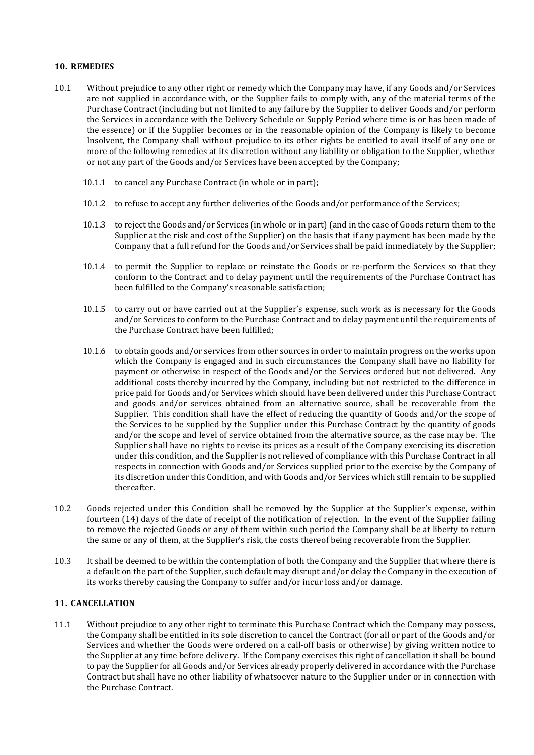### **10. REMEDIES**

- 10.1 Without prejudice to any other right or remedy which the Company may have, if any Goods and/or Services are not supplied in accordance with, or the Supplier fails to comply with, any of the material terms of the Purchase Contract (including but not limited to any failure by the Supplier to deliver Goods and/or perform the Services in accordance with the Delivery Schedule or Supply Period where time is or has been made of the essence) or if the Supplier becomes or in the reasonable opinion of the Company is likely to become Insolvent, the Company shall without prejudice to its other rights be entitled to avail itself of any one or more of the following remedies at its discretion without any liability or obligation to the Supplier, whether or not any part of the Goods and/or Services have been accepted by the Company;
	- 10.1.1 to cancel any Purchase Contract (in whole or in part);
	- 10.1.2 to refuse to accept any further deliveries of the Goods and/or performance of the Services;
	- 10.1.3 to reject the Goods and/or Services (in whole or in part) (and in the case of Goods return them to the Supplier at the risk and cost of the Supplier) on the basis that if any payment has been made by the Company that a full refund for the Goods and/or Services shall be paid immediately by the Supplier;
	- 10.1.4 to permit the Supplier to replace or reinstate the Goods or re-perform the Services so that they conform to the Contract and to delay payment until the requirements of the Purchase Contract has been fulfilled to the Company's reasonable satisfaction;
	- 10.1.5 to carry out or have carried out at the Supplier's expense, such work as is necessary for the Goods and/or Services to conform to the Purchase Contract and to delay payment until the requirements of the Purchase Contract have been fulfilled:
	- 10.1.6 to obtain goods and/or services from other sources in order to maintain progress on the works upon which the Company is engaged and in such circumstances the Company shall have no liability for payment or otherwise in respect of the Goods and/or the Services ordered but not delivered. Any additional costs thereby incurred by the Company, including but not restricted to the difference in price paid for Goods and/or Services which should have been delivered under this Purchase Contract and goods and/or services obtained from an alternative source, shall be recoverable from the Supplier. This condition shall have the effect of reducing the quantity of Goods and/or the scope of the Services to be supplied by the Supplier under this Purchase Contract by the quantity of goods and/or the scope and level of service obtained from the alternative source, as the case may be. The Supplier shall have no rights to revise its prices as a result of the Company exercising its discretion under this condition, and the Supplier is not relieved of compliance with this Purchase Contract in all respects in connection with Goods and/or Services supplied prior to the exercise by the Company of its discretion under this Condition, and with Goods and/or Services which still remain to be supplied thereafter.
- 10.2 Goods rejected under this Condition shall be removed by the Supplier at the Supplier's expense, within fourteen (14) days of the date of receipt of the notification of rejection. In the event of the Supplier failing to remove the rejected Goods or any of them within such period the Company shall be at liberty to return the same or any of them, at the Supplier's risk, the costs thereof being recoverable from the Supplier.
- 10.3 It shall be deemed to be within the contemplation of both the Company and the Supplier that where there is a default on the part of the Supplier, such default may disrupt and/or delay the Company in the execution of its works thereby causing the Company to suffer and/or incur loss and/or damage.

### **11. CANCELLATION**

11.1 Without prejudice to any other right to terminate this Purchase Contract which the Company may possess, the Company shall be entitled in its sole discretion to cancel the Contract (for all or part of the Goods and/or Services and whether the Goods were ordered on a call-off basis or otherwise) by giving written notice to the Supplier at any time before delivery. If the Company exercises this right of cancellation it shall be bound to pay the Supplier for all Goods and/or Services already properly delivered in accordance with the Purchase Contract but shall have no other liability of whatsoever nature to the Supplier under or in connection with the Purchase Contract.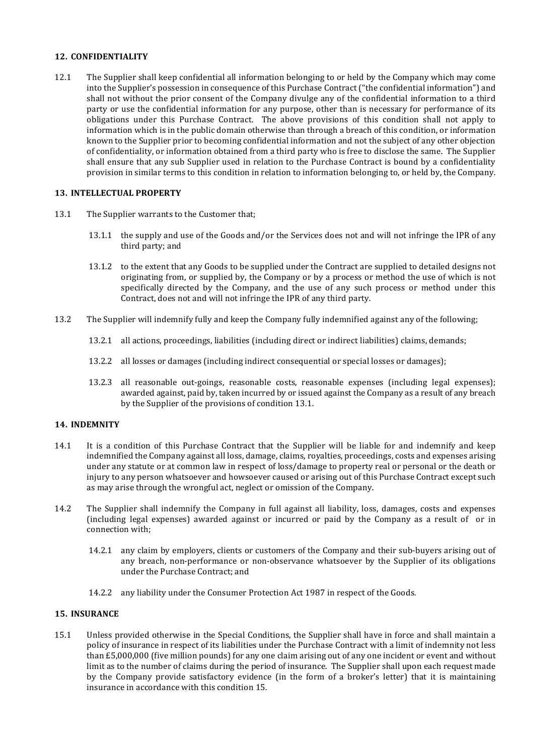## **12. CONFIDENTIALITY**

12.1 The Supplier shall keep confidential all information belonging to or held by the Company which may come into the Supplier's possession in consequence of this Purchase Contract ("the confidential information") and shall not without the prior consent of the Company divulge any of the confidential information to a third party or use the confidential information for any purpose, other than is necessary for performance of its obligations under this Purchase Contract. The above provisions of this condition shall not apply to information which is in the public domain otherwise than through a breach of this condition, or information known to the Supplier prior to becoming confidential information and not the subject of any other objection of confidentiality, or information obtained from a third party who is free to disclose the same. The Supplier shall ensure that any sub Supplier used in relation to the Purchase Contract is bound by a confidentiality provision in similar terms to this condition in relation to information belonging to, or held by, the Company.

## **13. INTELLECTUAL PROPERTY**

- 13.1 The Supplier warrants to the Customer that;
	- 13.1.1 the supply and use of the Goods and/or the Services does not and will not infringe the IPR of any third party; and
	- 13.1.2 to the extent that any Goods to be supplied under the Contract are supplied to detailed designs not originating from, or supplied by, the Company or by a process or method the use of which is not specifically directed by the Company, and the use of any such process or method under this Contract, does not and will not infringe the IPR of any third party.
- 13.2 The Supplier will indemnify fully and keep the Company fully indemnified against any of the following;
	- 13.2.1 all actions, proceedings, liabilities (including direct or indirect liabilities) claims, demands;
	- 13.2.2 all losses or damages (including indirect consequential or special losses or damages);
	- 13.2.3 all reasonable out-goings, reasonable costs, reasonable expenses (including legal expenses); awarded against, paid by, taken incurred by or issued against the Company as a result of any breach by the Supplier of the provisions of condition 13.1.

### **14. INDEMNITY**

- 14.1 It is a condition of this Purchase Contract that the Supplier will be liable for and indemnify and keep indemnified the Company against all loss, damage, claims, royalties, proceedings, costs and expenses arising under any statute or at common law in respect of loss/damage to property real or personal or the death or injury to any person whatsoever and howsoever caused or arising out of this Purchase Contract except such as may arise through the wrongful act, neglect or omission of the Company.
- 14.2 The Supplier shall indemnify the Company in full against all liability, loss, damages, costs and expenses (including legal expenses) awarded against or incurred or paid by the Company as a result of  $\alpha$  in connection with;
	- 14.2.1 any claim by employers, clients or customers of the Company and their sub-buyers arising out of any breach, non-performance or non-observance whatsoever by the Supplier of its obligations under the Purchase Contract; and
	- 14.2.2 any liability under the Consumer Protection Act 1987 in respect of the Goods.

## **15. INSURANCE**

15.1 Unless provided otherwise in the Special Conditions, the Supplier shall have in force and shall maintain a policy of insurance in respect of its liabilities under the Purchase Contract with a limit of indemnity not less than  $£5,000,000$  (five million pounds) for any one claim arising out of any one incident or event and without limit as to the number of claims during the period of insurance. The Supplier shall upon each request made by the Company provide satisfactory evidence (in the form of a broker's letter) that it is maintaining insurance in accordance with this condition 15.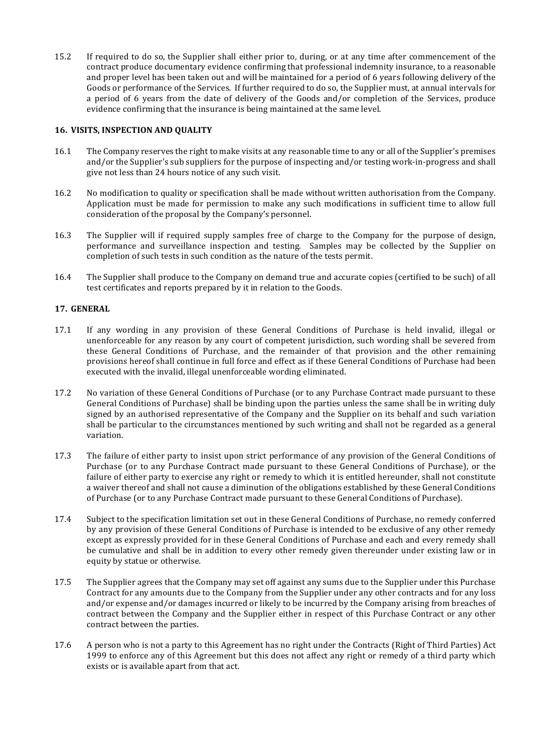15.2 If required to do so, the Supplier shall either prior to, during, or at any time after commencement of the contract produce documentary evidence confirming that professional indemnity insurance, to a reasonable and proper level has been taken out and will be maintained for a period of 6 years following delivery of the Goods or performance of the Services. If further required to do so, the Supplier must, at annual intervals for a period of 6 years from the date of delivery of the Goods and/or completion of the Services, produce evidence confirming that the insurance is being maintained at the same level.

## **16. VISITS, INSPECTION AND QUALITY**

- 16.1 The Company reserves the right to make visits at any reasonable time to any or all of the Supplier's premises and/or the Supplier's sub suppliers for the purpose of inspecting and/or testing work-in-progress and shall give not less than 24 hours notice of any such visit.
- 16.2 No modification to quality or specification shall be made without written authorisation from the Company. Application must be made for permission to make any such modifications in sufficient time to allow full consideration of the proposal by the Company's personnel.
- 16.3 The Supplier will if required supply samples free of charge to the Company for the purpose of design, performance and surveillance inspection and testing. Samples may be collected by the Supplier on completion of such tests in such condition as the nature of the tests permit.
- 16.4 The Supplier shall produce to the Company on demand true and accurate copies (certified to be such) of all test certificates and reports prepared by it in relation to the Goods.

## **17. GENERAL**

- 17.1 If any wording in any provision of these General Conditions of Purchase is held invalid, illegal or unenforceable for any reason by any court of competent jurisdiction, such wording shall be severed from these General Conditions of Purchase, and the remainder of that provision and the other remaining provisions hereof shall continue in full force and effect as if these General Conditions of Purchase had been executed with the invalid, illegal unenforceable wording eliminated.
- 17.2 No variation of these General Conditions of Purchase (or to any Purchase Contract made pursuant to these General Conditions of Purchase) shall be binding upon the parties unless the same shall be in writing duly signed by an authorised representative of the Company and the Supplier on its behalf and such variation shall be particular to the circumstances mentioned by such writing and shall not be regarded as a general variation.
- 17.3 The failure of either party to insist upon strict performance of any provision of the General Conditions of Purchase (or to any Purchase Contract made pursuant to these General Conditions of Purchase), or the failure of either party to exercise any right or remedy to which it is entitled hereunder, shall not constitute a waiver thereof and shall not cause a diminution of the obligations established by these General Conditions of Purchase (or to any Purchase Contract made pursuant to these General Conditions of Purchase).
- 17.4 Subject to the specification limitation set out in these General Conditions of Purchase, no remedy conferred by any provision of these General Conditions of Purchase is intended to be exclusive of any other remedy except as expressly provided for in these General Conditions of Purchase and each and every remedy shall be cumulative and shall be in addition to every other remedy given thereunder under existing law or in equity by statue or otherwise.
- 17.5 The Supplier agrees that the Company may set off against any sums due to the Supplier under this Purchase Contract for any amounts due to the Company from the Supplier under any other contracts and for any loss and/or expense and/or damages incurred or likely to be incurred by the Company arising from breaches of contract between the Company and the Supplier either in respect of this Purchase Contract or any other contract between the parties.
- 17.6 A person who is not a party to this Agreement has no right under the Contracts (Right of Third Parties) Act 1999 to enforce any of this Agreement but this does not affect any right or remedy of a third party which exists or is available apart from that act.